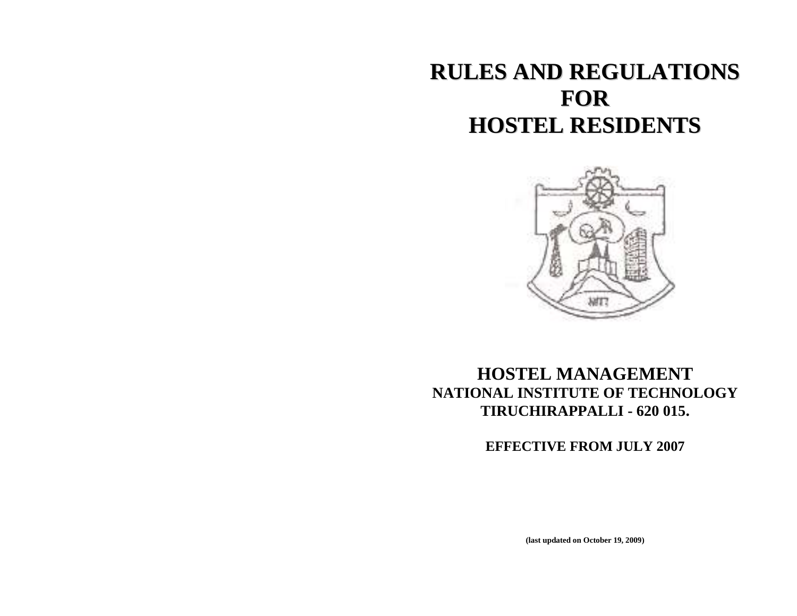# **RULES AND REGULATIONS FOR HOSTEL RESIDENTS**



## **HOSTEL MANAGEMENT NATIONAL INSTITUTE OF TECHNOLOGY TIRUCHIRAPPALLI - 620 015.**

**EFFECTIVE FROM JULY 2007**

**(last updated on October 19, 2009)**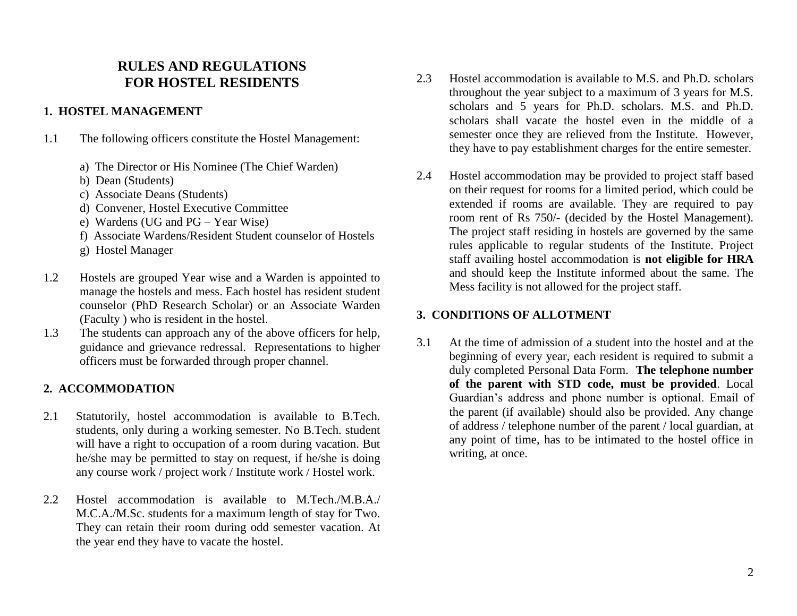## **RULES AND REGULATIONS FOR HOSTEL RESIDENTS**

## **1. HOSTEL MANAGEMENT**

1.1 The following officers constitute the Hostel Management:

- a) The Director or His Nominee (The Chief Warden)
- b) Dean (Students)
- c) Associate Deans (Students)
- d) Convener, Hostel Executive Committee
- e) Wardens (UG and PG Year Wise)
- f) Associate Wardens/Resident Student counselor of Hostels
- g) Hostel Manager
- 1.2 Hostels are grouped Year wise and a Warden is appointed to manage the hostels and mess. Each hostel has resident student counselor (PhD Research Scholar) or an Associate Warden (Faculty ) who is resident in the hostel.
- 1.3 The students can approach any of the above officers for help, guidance and grievance redressal. Representations to higher officers must be forwarded through proper channel.

## **2. ACCOMMODATION**

- 2.1 Statutorily, hostel accommodation is available to B.Tech. students, only during a working semester. No B.Tech. student will have a right to occupation of a room during vacation. But he/she may be permitted to stay on request, if he/she is doing any course work / project work / Institute work / Hostel work.
- 2.2 Hostel accommodation is available to M.Tech./M.B.A./ M.C.A./M.Sc. students for a maximum length of stay for Two. They can retain their room during odd semester vacation. At the year end they have to vacate the hostel.
- 2.3 Hostel accommodation is available to M.S. and Ph.D. scholars throughout the year subject to a maximum of 3 years for M.S. scholars and 5 years for Ph.D. scholars. M.S. and Ph.D. scholars shall vacate the hostel even in the middle of a semester once they are relieved from the Institute. However, they have to pay establishment charges for the entire semester.
- 2.4 Hostel accommodation may be provided to project staff based on their request for rooms for a limited period, which could be extended if rooms are available. They are required to pay room rent of Rs 750/- (decided by the Hostel Management). The project staff residing in hostels are governed by the same rules applicable to regular students of the Institute. Project staff availing hostel accommodation is **not eligible for HRA** and should keep the Institute informed about the same. The Mess facility is not allowed for the project staff.

## **3. CONDITIONS OF ALLOTMENT**

3.1 At the time of admission of a student into the hostel and at the beginning of every year, each resident is required to submit a duly completed Personal Data Form. **The telephone number of the parent with STD code, must be provided**. Local Guardian's address and phone number is optional. Email of the parent (if available) should also be provided. Any change of address / telephone number of the parent / local guardian, at any point of time, has to be intimated to the hostel office in writing, at once.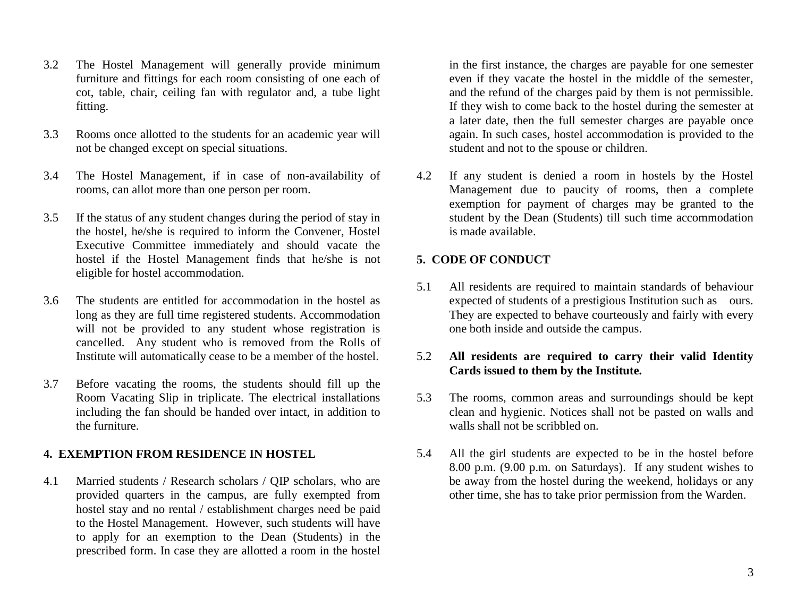- 3.2 The Hostel Management will generally provide minimum furniture and fittings for each room consisting of one each of cot, table, chair, ceiling fan with regulator and, a tube light fitting.
- 3.3 Rooms once allotted to the students for an academic year will not be changed except on special situations.
- 3.4 The Hostel Management, if in case of non-availability of rooms, can allot more than one person per room.
- 3.5 If the status of any student changes during the period of stay in the hostel, he/she is required to inform the Convener, Hostel Executive Committee immediately and should vacate the hostel if the Hostel Management finds that he/she is not eligible for hostel accommodation.
- 3.6 The students are entitled for accommodation in the hostel as long as they are full time registered students. Accommodation will not be provided to any student whose registration is cancelled. Any student who is removed from the Rolls of Institute will automatically cease to be a member of the hostel.
- 3.7 Before vacating the rooms, the students should fill up the Room Vacating Slip in triplicate. The electrical installations including the fan should be handed over intact, in addition to the furniture.

#### **4. EXEMPTION FROM RESIDENCE IN HOSTEL**

4.1 Married students / Research scholars / QIP scholars, who are provided quarters in the campus, are fully exempted from hostel stay and no rental / establishment charges need be paid to the Hostel Management. However, such students will have to apply for an exemption to the Dean (Students) in the prescribed form. In case they are allotted a room in the hostel

in the first instance, the charges are payable for one semester even if they vacate the hostel in the middle of the semester, and the refund of the charges paid by them is not permissible. If they wish to come back to the hostel during the semester at a later date, then the full semester charges are payable once again. In such cases, hostel accommodation is provided to the student and not to the spouse or children.

4.2 If any student is denied a room in hostels by the Hostel Management due to paucity of rooms, then a complete exemption for payment of charges may be granted to the student by the Dean (Students) till such time accommodation is made available.

#### **5. CODE OF CONDUCT**

5.1 All residents are required to maintain standards of behaviour expected of students of a prestigious Institution such as ours. They are expected to behave courteously and fairly with every one both inside and outside the campus.

#### 5.2 **All residents are required to carry their valid Identity Cards issued to them by the Institute.**

- 5.3 The rooms, common areas and surroundings should be kept clean and hygienic. Notices shall not be pasted on walls and walls shall not be scribbled on.
- 5.4 All the girl students are expected to be in the hostel before 8.00 p.m. (9.00 p.m. on Saturdays). If any student wishes to be away from the hostel during the weekend, holidays or any other time, she has to take prior permission from the Warden.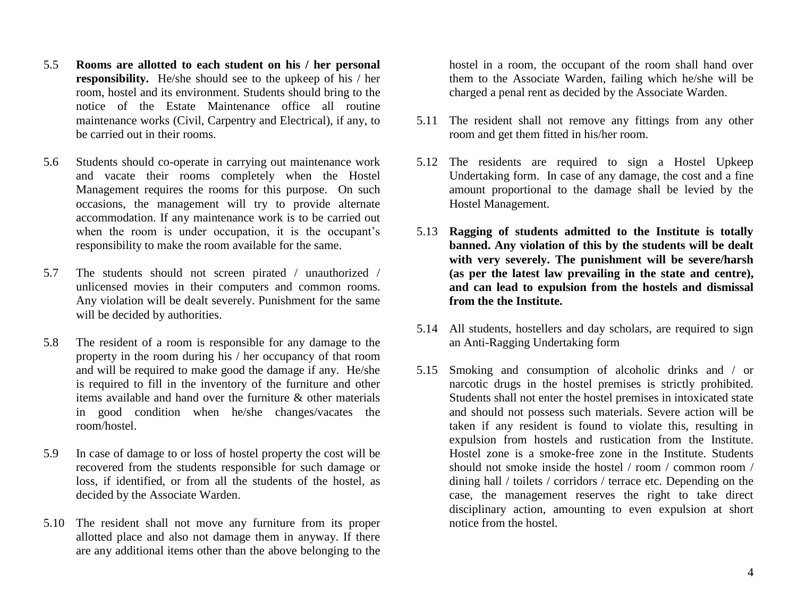- 5.5 **Rooms are allotted to each student on his / her personal responsibility.** He/she should see to the upkeep of his / her room, hostel and its environment. Students should bring to the notice of the Estate Maintenance office all routine maintenance works (Civil, Carpentry and Electrical), if any, to be carried out in their rooms.
- 5.6 Students should co-operate in carrying out maintenance work and vacate their rooms completely when the Hostel Management requires the rooms for this purpose. On such occasions, the management will try to provide alternate accommodation. If any maintenance work is to be carried out when the room is under occupation, it is the occupant's responsibility to make the room available for the same.
- 5.7 The students should not screen pirated / unauthorized / unlicensed movies in their computers and common rooms. Any violation will be dealt severely. Punishment for the same will be decided by authorities.
- 5.8 The resident of a room is responsible for any damage to the property in the room during his / her occupancy of that room and will be required to make good the damage if any. He/she is required to fill in the inventory of the furniture and other items available and hand over the furniture & other materials in good condition when he/she changes/vacates the room/hostel.
- 5.9 In case of damage to or loss of hostel property the cost will be recovered from the students responsible for such damage or loss, if identified, or from all the students of the hostel, as decided by the Associate Warden.
- 5.10 The resident shall not move any furniture from its proper allotted place and also not damage them in anyway. If there are any additional items other than the above belonging to the

hostel in a room, the occupant of the room shall hand over them to the Associate Warden, failing which he/she will be charged a penal rent as decided by the Associate Warden.

- 5.11 The resident shall not remove any fittings from any other room and get them fitted in his/her room.
- 5.12 The residents are required to sign a Hostel Upkeep Undertaking form. In case of any damage, the cost and a fine amount proportional to the damage shall be levied by the Hostel Management.
- 5.13 **Ragging of students admitted to the Institute is totally banned. Any violation of this by the students will be dealt with very severely. The punishment will be severe/harsh (as per the latest law prevailing in the state and centre), and can lead to expulsion from the hostels and dismissal from the the Institute.**
- 5.14 All students, hostellers and day scholars, are required to sign an Anti-Ragging Undertaking form
- 5.15 Smoking and consumption of alcoholic drinks and / or narcotic drugs in the hostel premises is strictly prohibited. Students shall not enter the hostel premises in intoxicated state and should not possess such materials. Severe action will be taken if any resident is found to violate this, resulting in expulsion from hostels and rustication from the Institute. Hostel zone is a smoke-free zone in the Institute. Students should not smoke inside the hostel / room / common room / dining hall / toilets / corridors / terrace etc. Depending on the case, the management reserves the right to take direct disciplinary action, amounting to even expulsion at short notice from the hostel.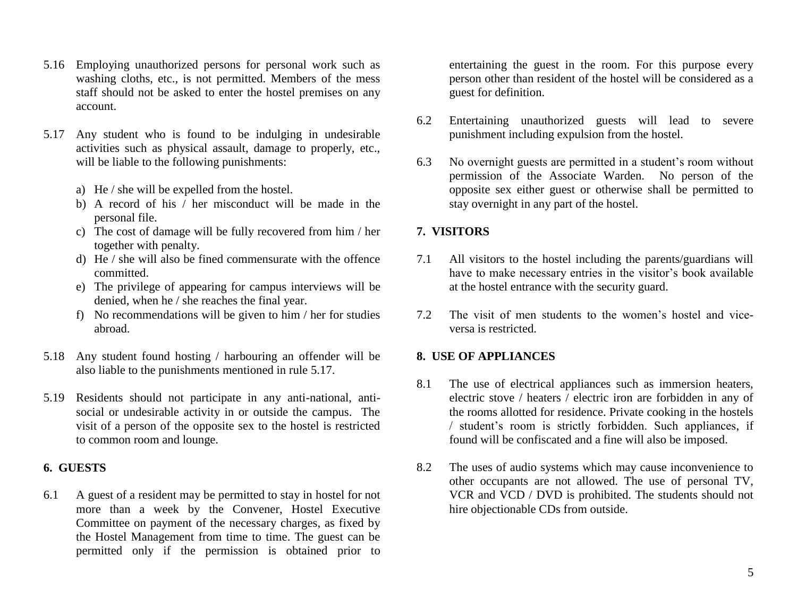- 5.16 Employing unauthorized persons for personal work such as washing cloths, etc., is not permitted. Members of the mess staff should not be asked to enter the hostel premises on any account.
- 5.17 Any student who is found to be indulging in undesirable activities such as physical assault, damage to properly, etc., will be liable to the following punishments:
	- a) He / she will be expelled from the hostel.
	- b) A record of his / her misconduct will be made in the personal file.
	- c) The cost of damage will be fully recovered from him / her together with penalty.
	- d) He / she will also be fined commensurate with the offence committed.
	- e) The privilege of appearing for campus interviews will be denied, when he / she reaches the final year.
	- f) No recommendations will be given to him / her for studies abroad.
- 5.18 Any student found hosting / harbouring an offender will be also liable to the punishments mentioned in rule 5.17.
- 5.19 Residents should not participate in any anti-national, antisocial or undesirable activity in or outside the campus. The visit of a person of the opposite sex to the hostel is restricted to common room and lounge.

#### **6. GUESTS**

6.1 A guest of a resident may be permitted to stay in hostel for not more than a week by the Convener, Hostel Executive Committee on payment of the necessary charges, as fixed by the Hostel Management from time to time. The guest can be permitted only if the permission is obtained prior to

entertaining the guest in the room. For this purpose every person other than resident of the hostel will be considered as a guest for definition.

- 6.2 Entertaining unauthorized guests will lead to severe punishment including expulsion from the hostel.
- 6.3 No overnight guests are permitted in a student's room without permission of the Associate Warden. No person of the opposite sex either guest or otherwise shall be permitted to stay overnight in any part of the hostel.

#### **7. VISITORS**

- 7.1 All visitors to the hostel including the parents/guardians will have to make necessary entries in the visitor's book available at the hostel entrance with the security guard.
- 7.2 The visit of men students to the women's hostel and viceversa is restricted.

#### **8. USE OF APPLIANCES**

- 8.1 The use of electrical appliances such as immersion heaters, electric stove / heaters / electric iron are forbidden in any of the rooms allotted for residence. Private cooking in the hostels / student's room is strictly forbidden. Such appliances, if found will be confiscated and a fine will also be imposed.
- 8.2 The uses of audio systems which may cause inconvenience to other occupants are not allowed. The use of personal TV, VCR and VCD / DVD is prohibited. The students should not hire objectionable CDs from outside.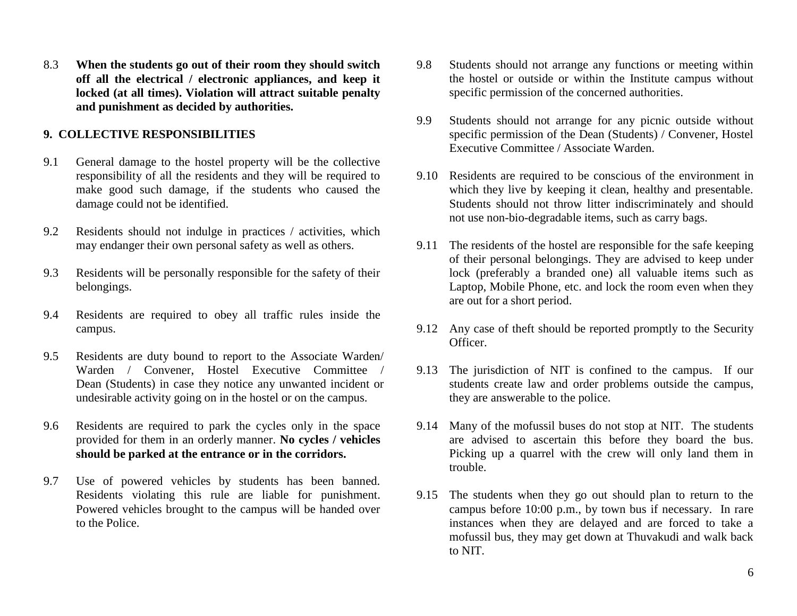8.3 **When the students go out of their room they should switch off all the electrical / electronic appliances, and keep it locked (at all times). Violation will attract suitable penalty and punishment as decided by authorities.**

#### **9. COLLECTIVE RESPONSIBILITIES**

- 9.1 General damage to the hostel property will be the collective responsibility of all the residents and they will be required to make good such damage, if the students who caused the damage could not be identified.
- 9.2 Residents should not indulge in practices / activities, which may endanger their own personal safety as well as others.
- 9.3 Residents will be personally responsible for the safety of their belongings.
- 9.4 Residents are required to obey all traffic rules inside the campus.
- 9.5 Residents are duty bound to report to the Associate Warden/ Warden / Convener, Hostel Executive Committee / Dean (Students) in case they notice any unwanted incident or undesirable activity going on in the hostel or on the campus.
- 9.6 Residents are required to park the cycles only in the space provided for them in an orderly manner. **No cycles / vehicles should be parked at the entrance or in the corridors.**
- 9.7 Use of powered vehicles by students has been banned. Residents violating this rule are liable for punishment. Powered vehicles brought to the campus will be handed over to the Police.
- 9.8 Students should not arrange any functions or meeting within the hostel or outside or within the Institute campus without specific permission of the concerned authorities.
- 9.9 Students should not arrange for any picnic outside without specific permission of the Dean (Students) / Convener, Hostel Executive Committee / Associate Warden.
- 9.10 Residents are required to be conscious of the environment in which they live by keeping it clean, healthy and presentable. Students should not throw litter indiscriminately and should not use non-bio-degradable items, such as carry bags.
- 9.11 The residents of the hostel are responsible for the safe keeping of their personal belongings. They are advised to keep under lock (preferably a branded one) all valuable items such as Laptop, Mobile Phone, etc. and lock the room even when they are out for a short period.
- 9.12 Any case of theft should be reported promptly to the Security Officer.
- 9.13 The jurisdiction of NIT is confined to the campus. If our students create law and order problems outside the campus, they are answerable to the police.
- 9.14 Many of the mofussil buses do not stop at NIT. The students are advised to ascertain this before they board the bus. Picking up a quarrel with the crew will only land them in trouble.
- 9.15 The students when they go out should plan to return to the campus before 10:00 p.m., by town bus if necessary. In rare instances when they are delayed and are forced to take a mofussil bus, they may get down at Thuvakudi and walk back to NIT.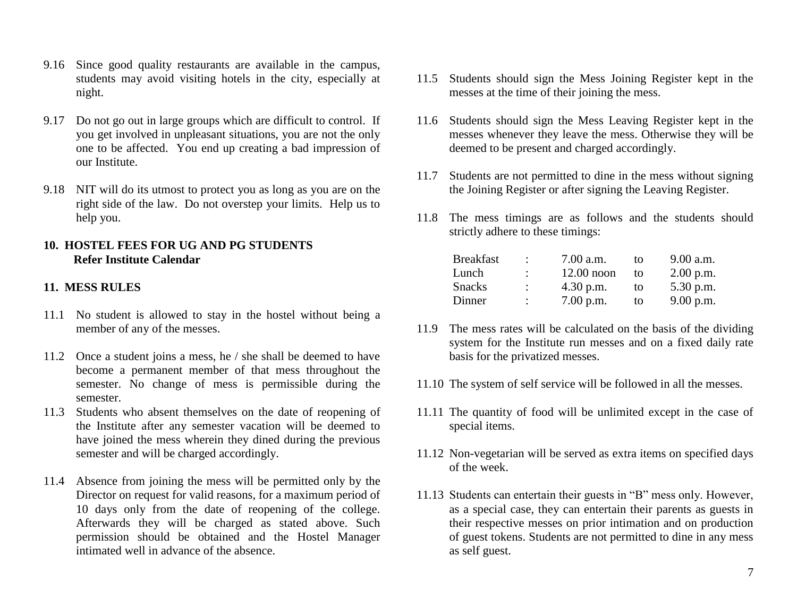- 9.16 Since good quality restaurants are available in the campus, students may avoid visiting hotels in the city, especially at night.
- 9.17 Do not go out in large groups which are difficult to control. If you get involved in unpleasant situations, you are not the only one to be affected. You end up creating a bad impression of our Institute.
- 9.18 NIT will do its utmost to protect you as long as you are on the right side of the law. Do not overstep your limits. Help us to help you.

#### **10. HOSTEL FEES FOR UG AND PG STUDENTS Refer Institute Calendar**

### **11. MESS RULES**

- 11.1 No student is allowed to stay in the hostel without being a member of any of the messes.
- 11.2 Once a student joins a mess, he / she shall be deemed to have become a permanent member of that mess throughout the semester. No change of mess is permissible during the semester.
- 11.3 Students who absent themselves on the date of reopening of the Institute after any semester vacation will be deemed to have joined the mess wherein they dined during the previous semester and will be charged accordingly.
- 11.4 Absence from joining the mess will be permitted only by the Director on request for valid reasons, for a maximum period of 10 days only from the date of reopening of the college. Afterwards they will be charged as stated above. Such permission should be obtained and the Hostel Manager intimated well in advance of the absence.
- 11.5 Students should sign the Mess Joining Register kept in the messes at the time of their joining the mess.
- 11.6 Students should sign the Mess Leaving Register kept in the messes whenever they leave the mess. Otherwise they will be deemed to be present and charged accordingly.
- 11.7 Students are not permitted to dine in the mess without signing the Joining Register or after signing the Leaving Register.
- 11.8 The mess timings are as follows and the students should strictly adhere to these timings:

| <b>Breakfast</b> | $\ddot{\phantom{0}}$ | 7.00 a.m.    | tΩ | 9.00 a.m.   |
|------------------|----------------------|--------------|----|-------------|
| Lunch            | $\ddot{\phantom{0}}$ | $12.00$ noon | tο | $2.00$ p.m. |
| <b>Snacks</b>    | $\ddot{\phantom{0}}$ | $4.30$ p.m.  | to | 5.30 p.m.   |
| Dinner           | $\ddot{\phantom{0}}$ | $7.00$ p.m.  | to | 9.00 p.m.   |

- 11.9 The mess rates will be calculated on the basis of the dividing system for the Institute run messes and on a fixed daily rate basis for the privatized messes.
- 11.10 The system of self service will be followed in all the messes.
- 11.11 The quantity of food will be unlimited except in the case of special items.
- 11.12 Non-vegetarian will be served as extra items on specified days of the week.
- 11.13 Students can entertain their guests in "B" mess only. However, as a special case, they can entertain their parents as guests in their respective messes on prior intimation and on production of guest tokens. Students are not permitted to dine in any mess as self guest.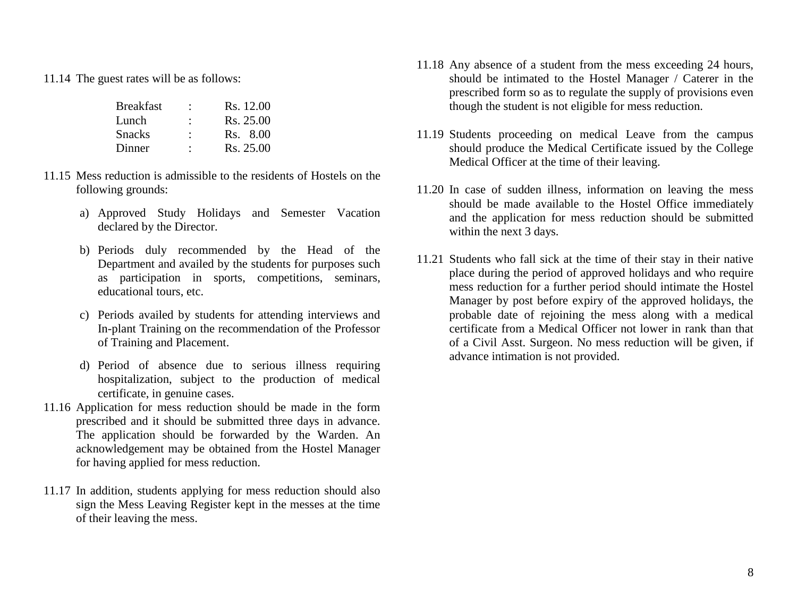11.14 The guest rates will be as follows:

| ٠ | Rs. 12.00 |
|---|-----------|
| ٠ | Rs. 25.00 |
| ٠ | Rs. 8.00  |
| ٠ | Rs. 25.00 |
|   |           |

- 11.15 Mess reduction is admissible to the residents of Hostels on the following grounds:
	- a) Approved Study Holidays and Semester Vacation declared by the Director.
	- b) Periods duly recommended by the Head of the Department and availed by the students for purposes such as participation in sports, competitions, seminars, educational tours, etc.
	- c) Periods availed by students for attending interviews and In-plant Training on the recommendation of the Professor of Training and Placement.
	- d) Period of absence due to serious illness requiring hospitalization, subject to the production of medical certificate, in genuine cases.
- 11.16 Application for mess reduction should be made in the form prescribed and it should be submitted three days in advance. The application should be forwarded by the Warden. An acknowledgement may be obtained from the Hostel Manager for having applied for mess reduction.
- 11.17 In addition, students applying for mess reduction should also sign the Mess Leaving Register kept in the messes at the time of their leaving the mess.
- 11.18 Any absence of a student from the mess exceeding 24 hours, should be intimated to the Hostel Manager / Caterer in the prescribed form so as to regulate the supply of provisions even though the student is not eligible for mess reduction.
- 11.19 Students proceeding on medical Leave from the campus should produce the Medical Certificate issued by the College Medical Officer at the time of their leaving.
- 11.20 In case of sudden illness, information on leaving the mess should be made available to the Hostel Office immediately and the application for mess reduction should be submitted within the next 3 days.
- 11.21 Students who fall sick at the time of their stay in their native place during the period of approved holidays and who require mess reduction for a further period should intimate the Hostel Manager by post before expiry of the approved holidays, the probable date of rejoining the mess along with a medical certificate from a Medical Officer not lower in rank than that of a Civil Asst. Surgeon. No mess reduction will be given, if advance intimation is not provided.